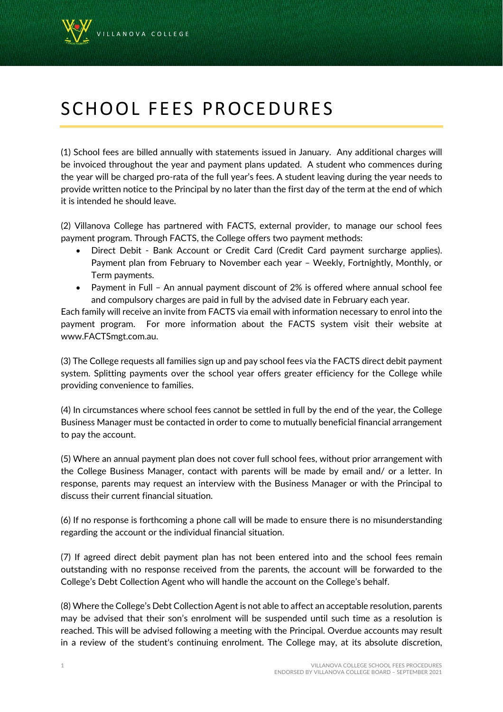

## SCHOOL FEES PROCEDURES

(1) School fees are billed annually with statements issued in January. Any additional charges will be invoiced throughout the year and payment plans updated. A student who commences during the year will be charged pro-rata of the full year's fees. A student leaving during the year needs to provide written notice to the Principal by no later than the first day of the term at the end of which it is intended he should leave.

(2) Villanova College has partnered with FACTS, external provider, to manage our school fees payment program. Through FACTS, the College offers two payment methods:

- Direct Debit Bank Account or Credit Card (Credit Card payment surcharge applies). Payment plan from February to November each year – Weekly, Fortnightly, Monthly, or Term payments.
- Payment in Full An annual payment discount of 2% is offered where annual school fee and compulsory charges are paid in full by the advised date in February each year.

Each family will receive an invite from FACTS via email with information necessary to enrol into the payment program. For more information about the FACTS system visit their website at www.FACTSmgt.com.au.

(3) The College requests all families sign up and pay school fees via the FACTS direct debit payment system. Splitting payments over the school year offers greater efficiency for the College while providing convenience to families.

(4) In circumstances where school fees cannot be settled in full by the end of the year, the College Business Manager must be contacted in order to come to mutually beneficial financial arrangement to pay the account.

(5) Where an annual payment plan does not cover full school fees, without prior arrangement with the College Business Manager, contact with parents will be made by email and/ or a letter. In response, parents may request an interview with the Business Manager or with the Principal to discuss their current financial situation.

(6) If no response is forthcoming a phone call will be made to ensure there is no misunderstanding regarding the account or the individual financial situation.

(7) If agreed direct debit payment plan has not been entered into and the school fees remain outstanding with no response received from the parents, the account will be forwarded to the College's Debt Collection Agent who will handle the account on the College's behalf.

(8) Where the College's Debt Collection Agent is not able to affect an acceptable resolution, parents may be advised that their son's enrolment will be suspended until such time as a resolution is reached. This will be advised following a meeting with the Principal. Overdue accounts may result in a review of the student's continuing enrolment. The College may, at its absolute discretion,